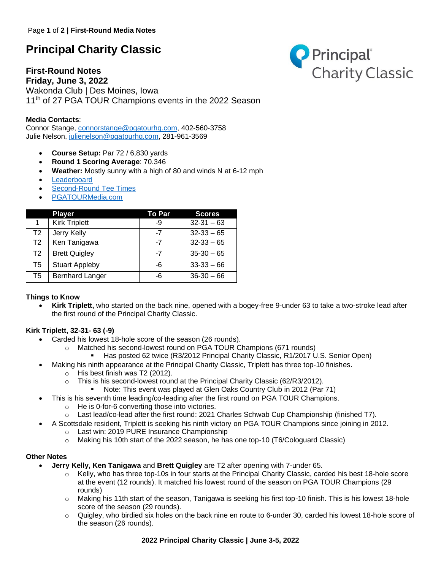# **Principal Charity Classic**

**First-Round Notes Friday, June 3, 2022** Wakonda Club | Des Moines, Iowa 11<sup>th</sup> of 27 PGA TOUR Champions events in the 2022 Season

## **Media Contacts**:

Connor Stange, [connorstange@pgatourhq.com,](mailto:connorstange@pgatourhq.com) 402-560-3758 Julie Nelson, [julienelson@pgatourhq.com,](mailto:julienelson@pgatourhq.com) 281-961-3569

- **Course Setup:** Par 72 / 6,830 yards
- **Round 1 Scoring Average**: 70.346
- **Weather:** Mostly sunny with a high of 80 and winds N at 6-12 mph
- **[Leaderboard](https://www.pgatour.com/champions/competition/2022/principal-charity-classic/leaderboard.html)**
- [Second-Round Tee Times](https://www.pgatour.com/champions/tournaments/principal-charity-classic/tee-times.html)
- [PGATOURMedia.com](https://pgatourmedia.pgatourhq.com/tours/2022/pgatourchampions/principalcharityclassic)

|                | <b>Player</b>          | To Par | <b>Scores</b>  |
|----------------|------------------------|--------|----------------|
|                | <b>Kirk Triplett</b>   | -9     | $32 - 31 - 63$ |
| T <sub>2</sub> | Jerry Kelly            | -7     | $32-33-65$     |
| T <sub>2</sub> | Ken Tanigawa           | $-7$   | $32-33-65$     |
| T <sub>2</sub> | <b>Brett Quigley</b>   | -7     | $35-30-65$     |
| T <sub>5</sub> | <b>Stuart Appleby</b>  | -6     | $33-33-66$     |
| T5             | <b>Bernhard Langer</b> | -6     | $36-30-66$     |

#### **Things to Know**

• **Kirk Triplett,** who started on the back nine, opened with a bogey-free 9-under 63 to take a two-stroke lead after the first round of the Principal Charity Classic.

### **Kirk Triplett, 32-31- 63 (-9)**

- Carded his lowest 18-hole score of the season (26 rounds).
	- o Matched his second-lowest round on PGA TOUR Champions (671 rounds)
		- **Has posted 62 twice (R3/2012 Principal Charity Classic, R1/2017 U.S. Senior Open)**
- Making his ninth appearance at the Principal Charity Classic, Triplett has three top-10 finishes.
	- o His best finish was T2 (2012).
	- $\circ$  This is his second-lowest round at the Principal Charity Classic (62/R3/2012).
		- Note: This event was played at Glen Oaks Country Club in 2012 (Par 71)
- This is his seventh time leading/co-leading after the first round on PGA TOUR Champions.
	- o He is 0-for-6 converting those into victories.
	- o Last lead/co-lead after the first round: 2021 Charles Schwab Cup Championship (finished T7).
- A Scottsdale resident, Triplett is seeking his ninth victory on PGA TOUR Champions since joining in 2012.
	- o Last win: 2019 PURE Insurance Championship
	- $\circ$  Making his 10th start of the 2022 season, he has one top-10 (T6/Cologuard Classic)

# **Other Notes**

- **Jerry Kelly, Ken Tanigawa** and **Brett Quigley** are T2 after opening with 7-under 65.
	- o Kelly, who has three top-10s in four starts at the Principal Charity Classic, carded his best 18-hole score at the event (12 rounds). It matched his lowest round of the season on PGA TOUR Champions (29 rounds)
	- o Making his 11th start of the season, Tanigawa is seeking his first top-10 finish. This is his lowest 18-hole score of the season (29 rounds).
	- $\circ$  Quigley, who birdied six holes on the back nine en route to 6-under 30, carded his lowest 18-hole score of the season (26 rounds).